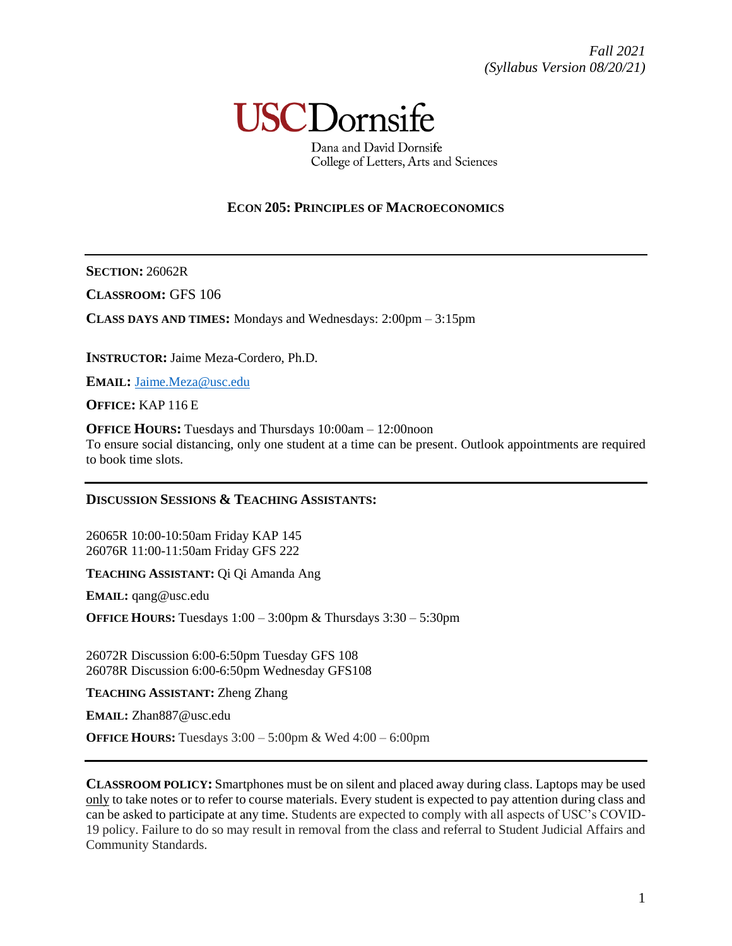

Dana and David Dornsife College of Letters, Arts and Sciences

### **ECON 205: PRINCIPLES OF MACROECONOMICS**

**SECTION:** 26062R

**CLASSROOM:** GFS 106

**CLASS DAYS AND TIMES:** Mondays and Wednesdays: 2:00pm – 3:15pm

**INSTRUCTOR:** Jaime Meza-Cordero, Ph.D.

**EMAIL:** [Jaime.Meza@usc.edu](mailto:Jaime.Meza@usc.edu)

**OFFICE:** KAP 116 E

**OFFICE HOURS:** Tuesdays and Thursdays 10:00am – 12:00noon To ensure social distancing, only one student at a time can be present. Outlook appointments are required to book time slots.

### **DISCUSSION SESSIONS & TEACHING ASSISTANTS:**

26065R 10:00-10:50am Friday [KAP](https://maps.usc.edu/?id=1928&reference=KAP) 145 26076R 11:00-11:50am Friday [GFS](https://maps.usc.edu/?id=1928&reference=GFS) 222

**TEACHING ASSISTANT:** Qi Qi Amanda Ang

**EMAIL:** [qang@usc.edu](mailto:qang@usc.edu)

**OFFICE HOURS:** Tuesdays 1:00 – 3:00pm & Thursdays 3:30 – 5:30pm

26072R Discussion 6:00-6:50pm Tuesday [GFS](https://maps.usc.edu/?id=1928&reference=GFS) 108 26078R Discussion 6:00-6:50pm Wednesday [GFS1](https://maps.usc.edu/?id=1928&reference=GFS)08

**TEACHING ASSISTANT:** Zheng Zhang

**EMAIL:** [Zhan887@usc.edu](mailto:Zhan887@usc.edu)

**OFFICE HOURS:** Tuesdays 3:00 – 5:00pm & Wed 4:00 – 6:00pm

**CLASSROOM POLICY:** Smartphones must be on silent and placed away during class. Laptops may be used only to take notes or to refer to course materials. Every student is expected to pay attention during class and can be asked to participate at any time. Students are expected to comply with all aspects of USC's COVID-19 policy. Failure to do so may result in removal from the class and referral to Student Judicial Affairs and Community Standards.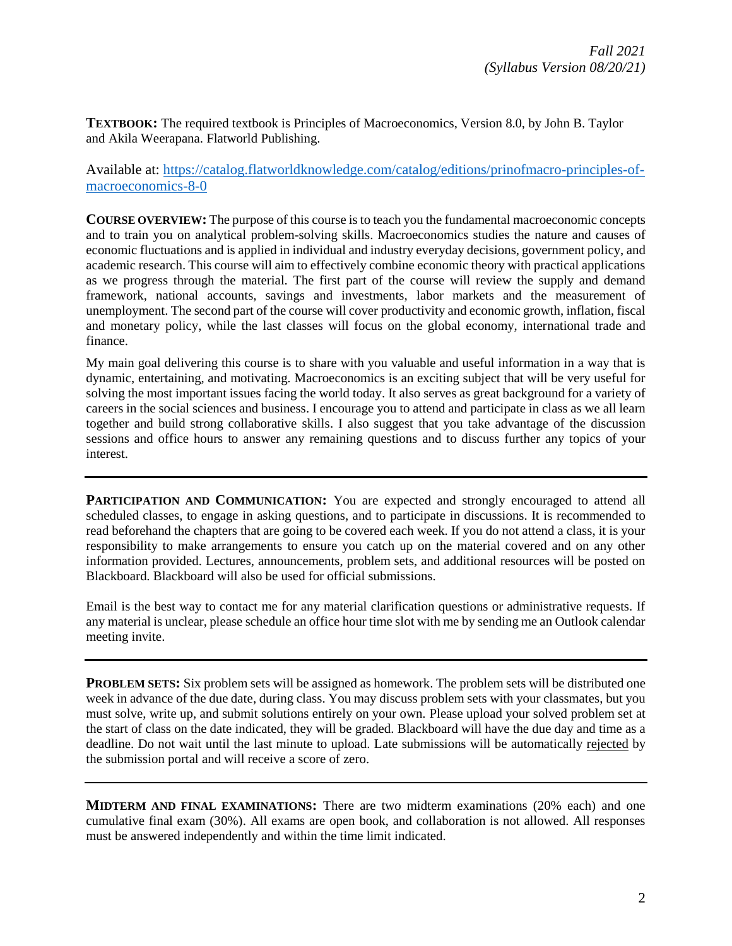**TEXTBOOK:** The required textbook is Principles of Macroeconomics, Version 8.0, by John B. Taylor and Akila Weerapana. Flatworld Publishing.

Available at: [https://catalog.flatworldknowledge.com/catalog/editions/prinofmacro-principles-of](https://catalog.flatworldknowledge.com/catalog/editions/prinofmacro-principles-of-macroeconomics-8-0)[macroeconomics-8-0](https://catalog.flatworldknowledge.com/catalog/editions/prinofmacro-principles-of-macroeconomics-8-0)

**COURSE OVERVIEW:** The purpose of this course is to teach you the fundamental macroeconomic concepts and to train you on analytical problem-solving skills. Macroeconomics studies the nature and causes of economic fluctuations and is applied in individual and industry everyday decisions, government policy, and academic research. This course will aim to effectively combine economic theory with practical applications as we progress through the material. The first part of the course will review the supply and demand framework, national accounts, savings and investments, labor markets and the measurement of unemployment. The second part of the course will cover productivity and economic growth, inflation, fiscal and monetary policy, while the last classes will focus on the global economy, international trade and finance.

My main goal delivering this course is to share with you valuable and useful information in a way that is dynamic, entertaining, and motivating. Macroeconomics is an exciting subject that will be very useful for solving the most important issues facing the world today. It also serves as great background for a variety of careers in the social sciences and business. I encourage you to attend and participate in class as we all learn together and build strong collaborative skills. I also suggest that you take advantage of the discussion sessions and office hours to answer any remaining questions and to discuss further any topics of your interest.

**PARTICIPATION AND COMMUNICATION:** You are expected and strongly encouraged to attend all scheduled classes, to engage in asking questions, and to participate in discussions. It is recommended to read beforehand the chapters that are going to be covered each week. If you do not attend a class, it is your responsibility to make arrangements to ensure you catch up on the material covered and on any other information provided. Lectures, announcements, problem sets, and additional resources will be posted on Blackboard. Blackboard will also be used for official submissions.

Email is the best way to contact me for any material clarification questions or administrative requests. If any material is unclear, please schedule an office hour time slot with me by sending me an Outlook calendar meeting invite.

**PROBLEM SETS:** Six problem sets will be assigned as homework. The problem sets will be distributed one week in advance of the due date, during class. You may discuss problem sets with your classmates, but you must solve, write up, and submit solutions entirely on your own. Please upload your solved problem set at the start of class on the date indicated, they will be graded. Blackboard will have the due day and time as a deadline. Do not wait until the last minute to upload. Late submissions will be automatically rejected by the submission portal and will receive a score of zero.

**MIDTERM AND FINAL EXAMINATIONS:** There are two midterm examinations (20% each) and one cumulative final exam (30%). All exams are open book, and collaboration is not allowed. All responses must be answered independently and within the time limit indicated.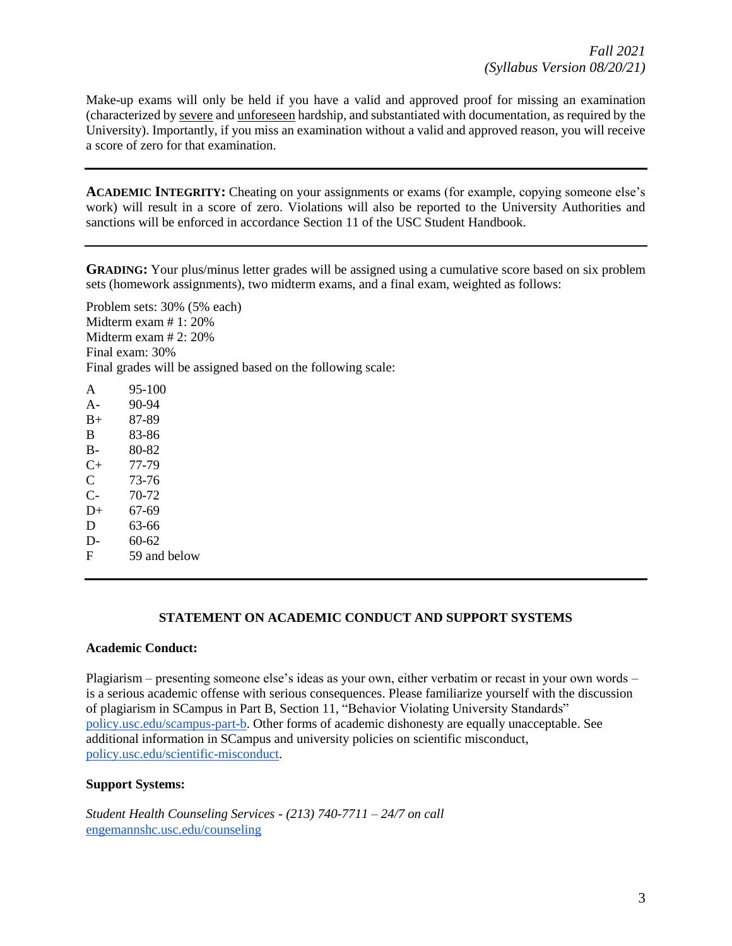Make-up exams will only be held if you have a valid and approved proof for missing an examination (characterized by severe and unforeseen hardship, and substantiated with documentation, as required by the University). Importantly, if you miss an examination without a valid and approved reason, you will receive a score of zero for that examination.

**ACADEMIC INTEGRITY:** Cheating on your assignments or exams (for example, copying someone else's work) will result in a score of zero. Violations will also be reported to the University Authorities and sanctions will be enforced in accordance Section 11 of the USC Student Handbook.

**GRADING:** Your plus/minus letter grades will be assigned using a cumulative score based on six problem sets (homework assignments), two midterm exams, and a final exam, weighted as follows:

Problem sets: 30% (5% each) Midterm exam # 1: 20% Midterm exam # 2: 20% Final exam: 30% Final grades will be assigned based on the following scale:

A 95-100 A- 90-94 B+ 87-89 B 83-86 B- 80-82 C+ 77-79 C 73-76 C- 70-72  $D+ 67-69$ D 63-66  $D - 60-62$ F 59 and below

### **STATEMENT ON ACADEMIC CONDUCT AND SUPPORT SYSTEMS**

#### **Academic Conduct:**

Plagiarism – presenting someone else's ideas as your own, either verbatim or recast in your own words – is a serious academic offense with serious consequences. Please familiarize yourself with the discussion of plagiarism in SCampus in Part B, Section 11, "Behavior Violating University Standards" [policy.usc.edu/scampus-part-b.](https://policy.usc.edu/scampus-part-b/) Other forms of academic dishonesty are equally unacceptable. See additional information in SCampus and university policies on scientific misconduct, [policy.usc.edu/scientific-misconduct.](http://policy.usc.edu/scientific-misconduct)

#### **Support Systems:**

*Student Health Counseling Services - (213) 740-7711 – 24/7 on call* [engemannshc.usc.edu/counseling](https://engemannshc.usc.edu/counseling/)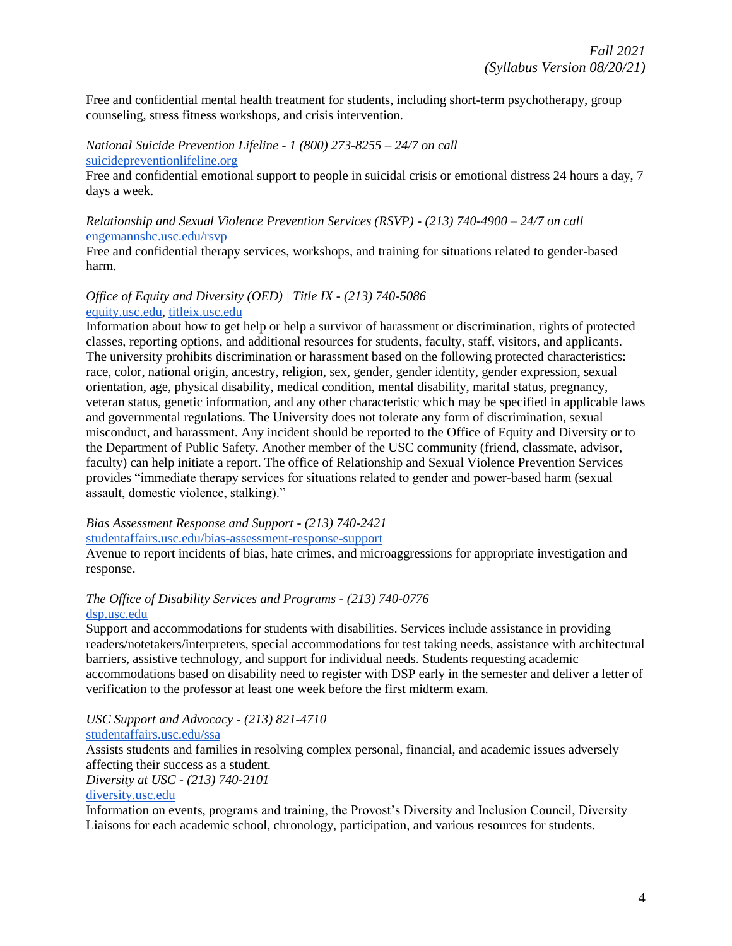Free and confidential mental health treatment for students, including short-term psychotherapy, group counseling, stress fitness workshops, and crisis intervention.

*National Suicide Prevention Lifeline - 1 (800) 273-8255 – 24/7 on call* [suicidepreventionlifeline.org](http://www.suicidepreventionlifeline.org/)

Free and confidential emotional support to people in suicidal crisis or emotional distress 24 hours a day, 7 days a week.

### *Relationship and Sexual Violence Prevention Services (RSVP) - (213) 740-4900 – 24/7 on call* [engemannshc.usc.edu/rsvp](https://engemannshc.usc.edu/rsvp/)

Free and confidential therapy services, workshops, and training for situations related to gender-based harm[.](https://engemannshc.usc.edu/rsvp/)

### *Office of Equity and Diversity (OED) | Title IX - (213) 740-5086* [equity.usc.edu,](https://equity.usc.edu/) [titleix.usc.edu](http://titleix.usc.edu/)

Information about how to get help or help a survivor of harassment or discrimination, rights of protected classes, reporting options, and additional resources for students, faculty, staff, visitors, and applicants. The university prohibits discrimination or harassment based on the following protected characteristics: race, color, national origin, ancestry, religion, sex, gender, gender identity, gender expression, sexual orientation, age, physical disability, medical condition, mental disability, marital status, pregnancy, veteran status, genetic information, and any other characteristic which may be specified in applicable laws and governmental regulations. The University does not tolerate any form of discrimination, sexual misconduct, and harassment. Any incident should be reported to the Office of Equity and Diversity or to the Department of Public Safety. Another member of the USC community (friend, classmate, advisor, faculty) can help initiate a report. The office of Relationship and Sexual Violence Prevention Services provides "immediate therapy services for situations related to gender and power-based harm (sexual assault, domestic violence, stalking)."

# *Bias Assessment Response and Support - (213) 740-2421*

### [studentaffairs.usc.edu/bias-assessment-response-support](https://studentaffairs.usc.edu/bias-assessment-response-support/)

Avenue to report incidents of bias, hate crimes, and microaggressions for appropriate investigation and response[.](https://studentaffairs.usc.edu/bias-assessment-response-support/)

### *The Office of Disability Services and Programs - (213) 740-0776* [dsp.usc.edu](http://dsp.usc.edu/)

Support and accommodations for students with disabilities. Services include assistance in providing readers/notetakers/interpreters, special accommodations for test taking needs, assistance with architectural barriers, assistive technology, and support for individual needs. Students requesting academic accommodations based on disability need to register with DSP early in the semester and deliver a letter of verification to the professor at least one week before the first midterm exam.

# *USC Support and Advocacy - (213) 821-4710*

### [studentaffairs.usc.edu/ssa](https://studentaffairs.usc.edu/ssa/)

Assists students and families in resolving complex personal, financial, and academic issues adversely affecting their success as a student.

### *Diversity at USC - (213) 740-2101*

### [diversity.usc.edu](https://diversity.usc.edu/)

Information on events, programs and training, the Provost's Diversity and Inclusion Council, Diversity Liaisons for each academic school, chronology, participation, and various resources for students.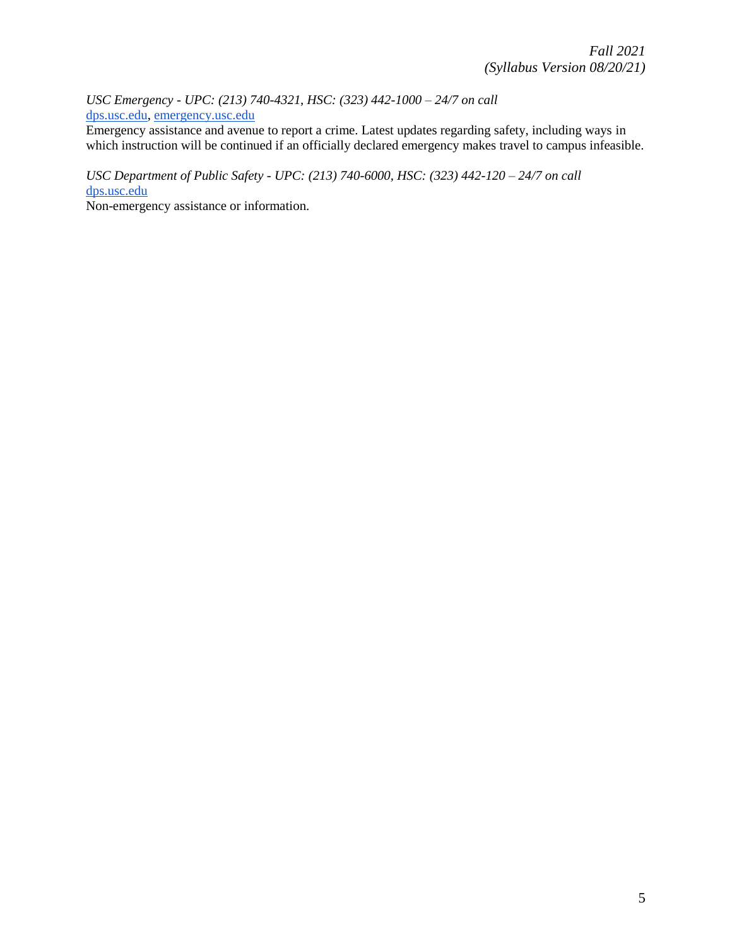*USC Emergency - UPC: (213) 740-4321, HSC: (323) 442-1000 – 24/7 on call*  [dps.usc.edu,](http://dps.usc.edu/) [emergency.usc.edu](http://emergency.usc.edu/)

Emergency assistance and avenue to report a crime. Latest updates regarding safety, including ways in which instruction will be continued if an officially declared emergency makes travel to campus infeasible.

*USC Department of Public Safety - UPC: (213) 740-6000, HSC: (323) 442-120 – 24/7 on call*  [dps.usc.edu](http://dps.usc.edu/)

Non-emergency assistance or information.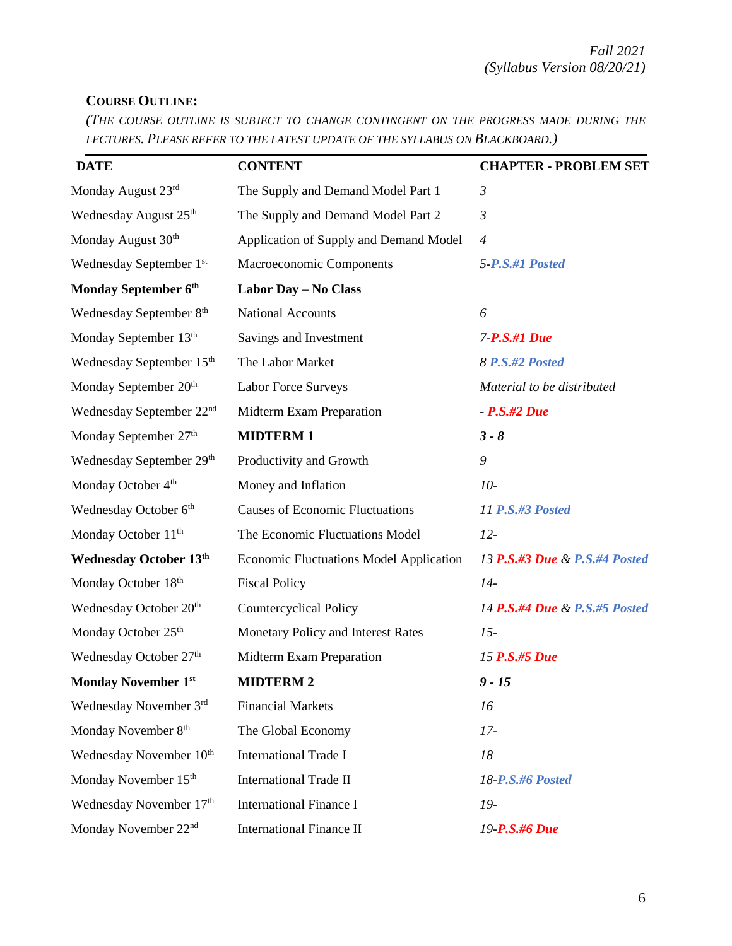# **COURSE OUTLINE:**

*(THE COURSE OUTLINE IS SUBJECT TO CHANGE CONTINGENT ON THE PROGRESS MADE DURING THE LECTURES. PLEASE REFER TO THE LATEST UPDATE OF THE SYLLABUS ON BLACKBOARD.)*

| <b>DATE</b>                          | <b>CONTENT</b>                                 | <b>CHAPTER - PROBLEM SET</b>  |  |
|--------------------------------------|------------------------------------------------|-------------------------------|--|
| Monday August 23rd                   | The Supply and Demand Model Part 1             | $\mathfrak{Z}$                |  |
| Wednesday August 25 <sup>th</sup>    | The Supply and Demand Model Part 2             | $\mathfrak{Z}$                |  |
| Monday August 30 <sup>th</sup>       | Application of Supply and Demand Model         | $\overline{4}$                |  |
| Wednesday September 1st              | Macroeconomic Components                       | 5-P.S.#1 Posted               |  |
| Monday September 6th                 | Labor Day - No Class                           |                               |  |
| Wednesday September 8th              | <b>National Accounts</b>                       | 6                             |  |
| Monday September 13th                | Savings and Investment                         | 7-P.S.#1 Due                  |  |
| Wednesday September 15 <sup>th</sup> | The Labor Market                               | 8 P.S.#2 Posted               |  |
| Monday September 20 <sup>th</sup>    | <b>Labor Force Surveys</b>                     | Material to be distributed    |  |
| Wednesday September 22 <sup>nd</sup> | Midterm Exam Preparation                       | $- P.S.$ #2 Due               |  |
| Monday September 27th                | <b>MIDTERM1</b>                                | $3 - 8$                       |  |
| Wednesday September 29th             | Productivity and Growth                        | 9                             |  |
| Monday October 4 <sup>th</sup>       | Money and Inflation                            | $10-$                         |  |
| Wednesday October 6th                | <b>Causes of Economic Fluctuations</b>         | <b>11 P.S.#3 Posted</b>       |  |
| Monday October 11 <sup>th</sup>      | The Economic Fluctuations Model                | $12-$                         |  |
| <b>Wednesday October 13th</b>        | <b>Economic Fluctuations Model Application</b> | 13 P.S.#3 Due & P.S.#4 Posted |  |
| Monday October 18th                  | <b>Fiscal Policy</b>                           | $14-$                         |  |
| Wednesday October 20th               | <b>Countercyclical Policy</b>                  | 14 P.S.#4 Due & P.S.#5 Posted |  |
| Monday October 25 <sup>th</sup>      | Monetary Policy and Interest Rates             | $15-$                         |  |
| Wednesday October 27th               | Midterm Exam Preparation                       | 15 P.S.#5 Due                 |  |
| <b>Monday November 1st</b>           | <b>MIDTERM 2</b>                               | $9 - 15$                      |  |
| Wednesday November 3rd               | <b>Financial Markets</b>                       | 16                            |  |
| Monday November 8th                  | The Global Economy                             | $17-$                         |  |
| Wednesday November 10 <sup>th</sup>  | <b>International Trade I</b>                   | 18                            |  |
| Monday November 15 <sup>th</sup>     | <b>International Trade II</b>                  | 18-P.S.#6 Posted              |  |
| Wednesday November 17th              | <b>International Finance I</b>                 | 19-                           |  |
| Monday November 22 <sup>nd</sup>     | <b>International Finance II</b>                | 19-P.S.#6 Due                 |  |